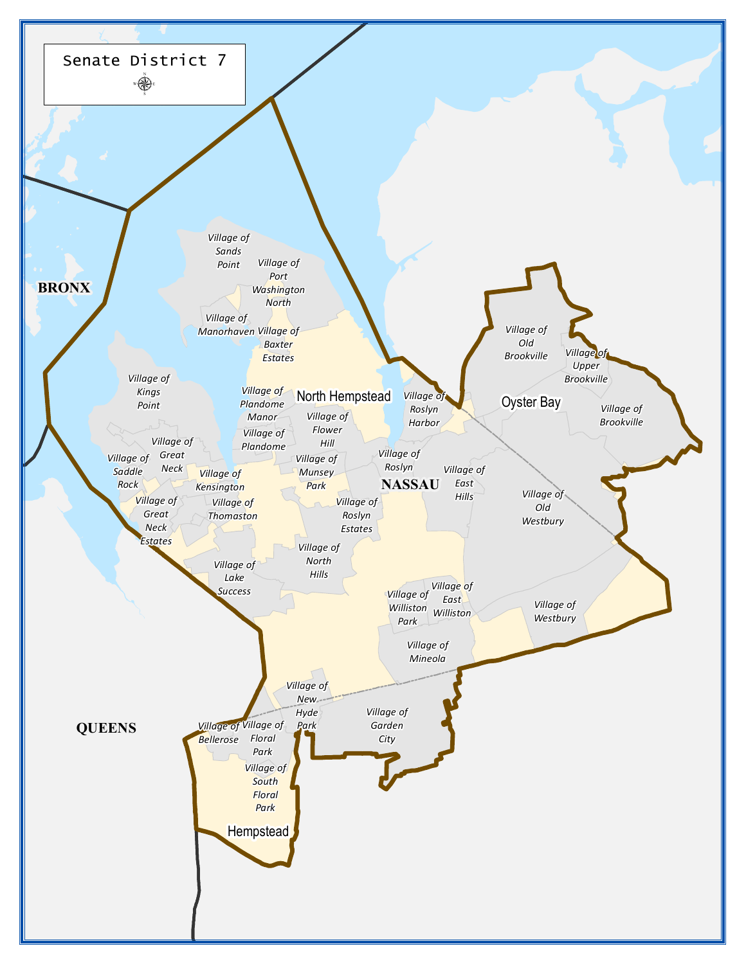